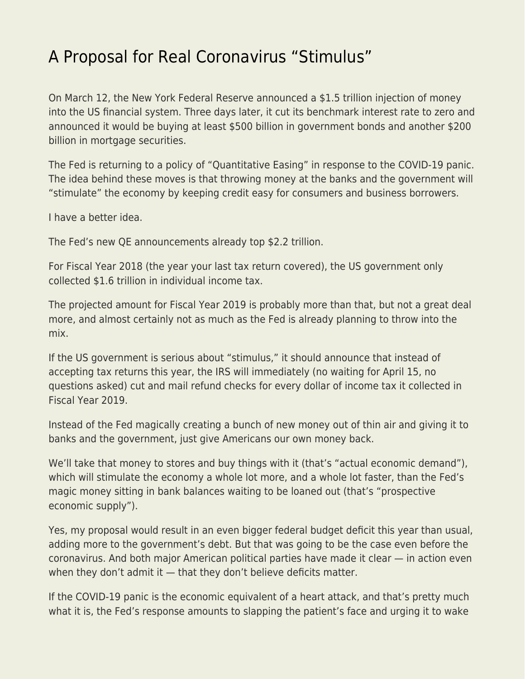## [A Proposal for Real Coronavirus "Stimulus"](https://everything-voluntary.com/a-proposal-for-real-coronavirus-stimulus)

On March 12, the New York Federal Reserve announced a \$1.5 trillion injection of money into the US financial system. Three days later, it cut its benchmark interest rate to zero and announced it would be buying at least \$500 billion in government bonds and another \$200 billion in mortgage securities.

The Fed is returning to a policy of "Quantitative Easing" in response to the COVID-19 panic. The idea behind these moves is that throwing money at the banks and the government will "stimulate" the economy by keeping credit easy for consumers and business borrowers.

I have a better idea.

The Fed's new QE announcements already top \$2.2 trillion.

For Fiscal Year 2018 (the year your last tax return covered), the US government only collected \$1.6 trillion in individual income tax.

The projected amount for Fiscal Year 2019 is probably more than that, but not a great deal more, and almost certainly not as much as the Fed is already planning to throw into the mix.

If the US government is serious about "stimulus," it should announce that instead of accepting tax returns this year, the IRS will immediately (no waiting for April 15, no questions asked) cut and mail refund checks for every dollar of income tax it collected in Fiscal Year 2019.

Instead of the Fed magically creating a bunch of new money out of thin air and giving it to banks and the government, just give Americans our own money back.

We'll take that money to stores and buy things with it (that's "actual economic demand"), which will stimulate the economy a whole lot more, and a whole lot faster, than the Fed's magic money sitting in bank balances waiting to be loaned out (that's "prospective economic supply").

Yes, my proposal would result in an even bigger federal budget deficit this year than usual, adding more to the government's debt. But that was going to be the case even before the coronavirus. And both major American political parties have made it clear — in action even when they don't admit it — that they don't believe deficits matter.

If the COVID-19 panic is the economic equivalent of a heart attack, and that's pretty much what it is, the Fed's response amounts to slapping the patient's face and urging it to wake